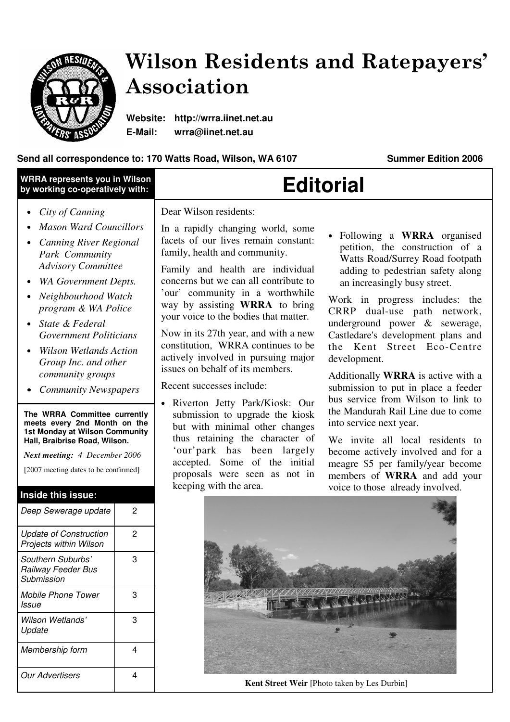

Mobile Phone Tower

Wilson Wetlands'

Membership form | 4

Our Advertisers 14

3

3

Issue

Update

# Wilson Residents and Ratepayers' Association

**Website: http://wrra.iinet.net.au E-Mail: wrra@iinet.net.au** 

### Send all correspondence to: 170 Watts Road, Wilson, WA 6107 **Summer Edition 2006**

| <b>WRRA represents you in Wilson</b><br>by working co-operatively with:                                                                                                                                                                                                                                                                                                                                                                                                                                                                                                                   | <b>Editorial</b>                                                                                                                                                                                                                                                                                                                                                                                                                                                                                                                                                                                                                                                                                                                                                                                                                                                                                                                                                                                                                                                                                                                                                                                                                                                                                                                                                                                                                                                                                |
|-------------------------------------------------------------------------------------------------------------------------------------------------------------------------------------------------------------------------------------------------------------------------------------------------------------------------------------------------------------------------------------------------------------------------------------------------------------------------------------------------------------------------------------------------------------------------------------------|-------------------------------------------------------------------------------------------------------------------------------------------------------------------------------------------------------------------------------------------------------------------------------------------------------------------------------------------------------------------------------------------------------------------------------------------------------------------------------------------------------------------------------------------------------------------------------------------------------------------------------------------------------------------------------------------------------------------------------------------------------------------------------------------------------------------------------------------------------------------------------------------------------------------------------------------------------------------------------------------------------------------------------------------------------------------------------------------------------------------------------------------------------------------------------------------------------------------------------------------------------------------------------------------------------------------------------------------------------------------------------------------------------------------------------------------------------------------------------------------------|
| City of Canning<br><b>Mason Ward Councillors</b><br><b>Canning River Regional</b><br>Park Community<br><b>Advisory Committee</b><br><b>WA Government Depts.</b><br>Neighbourhood Watch<br>program & WA Police<br>State & Federal<br><b>Government Politicians</b><br><b>Wilson Wetlands Action</b><br>Group Inc. and other<br>community groups<br><b>Community Newspapers</b><br>The WRRA Committee currently<br>meets every 2nd Month on the<br>1st Monday at Wilson Community<br>Hall, Braibrise Road, Wilson.<br>Next meeting: 4 December 2006<br>[2007 meeting dates to be confirmed] | Dear Wilson residents:<br>In a rapidly changing world, some<br>• Following a WRRA organised<br>facets of our lives remain constant:<br>petition, the construction of a<br>family, health and community.<br>Watts Road/Surrey Road footpath<br>Family and health are individual<br>adding to pedestrian safety along<br>concerns but we can all contribute to<br>an increasingly busy street.<br>'our' community in a worthwhile<br>Work in progress includes: the<br>way by assisting WRRA to bring<br>CRRP dual-use path network,<br>your voice to the bodies that matter.<br>underground power & sewerage,<br>Now in its 27th year, and with a new<br>Castledare's development plans and<br>constitution, WRRA continues to be<br>the Kent Street Eco-Centre<br>actively involved in pursuing major<br>development.<br>issues on behalf of its members.<br>Additionally WRRA is active with a<br>Recent successes include:<br>submission to put in place a feeder<br>bus service from Wilson to link to<br>• Riverton Jetty Park/Kiosk: Our<br>the Mandurah Rail Line due to come<br>submission to upgrade the kiosk<br>into service next year.<br>but with minimal other changes<br>thus retaining the character of<br>We invite all local residents to<br>'our'park has been largely<br>become actively involved and for a<br>accepted. Some of the initial<br>meagre \$5 per family/year become<br>proposals were seen as not in<br>members of WRRA and add your<br>keeping with the area. |
| Inside this issue:                                                                                                                                                                                                                                                                                                                                                                                                                                                                                                                                                                        | voice to those already involved.                                                                                                                                                                                                                                                                                                                                                                                                                                                                                                                                                                                                                                                                                                                                                                                                                                                                                                                                                                                                                                                                                                                                                                                                                                                                                                                                                                                                                                                                |
| Deep Sewerage update<br>2                                                                                                                                                                                                                                                                                                                                                                                                                                                                                                                                                                 |                                                                                                                                                                                                                                                                                                                                                                                                                                                                                                                                                                                                                                                                                                                                                                                                                                                                                                                                                                                                                                                                                                                                                                                                                                                                                                                                                                                                                                                                                                 |
| $\overline{c}$<br><b>Update of Construction</b><br>Projects within Wilson                                                                                                                                                                                                                                                                                                                                                                                                                                                                                                                 |                                                                                                                                                                                                                                                                                                                                                                                                                                                                                                                                                                                                                                                                                                                                                                                                                                                                                                                                                                                                                                                                                                                                                                                                                                                                                                                                                                                                                                                                                                 |
| 3<br>Southern Suburbs'<br>Railway Feeder Bus<br>Submission                                                                                                                                                                                                                                                                                                                                                                                                                                                                                                                                |                                                                                                                                                                                                                                                                                                                                                                                                                                                                                                                                                                                                                                                                                                                                                                                                                                                                                                                                                                                                                                                                                                                                                                                                                                                                                                                                                                                                                                                                                                 |

**Kent Street Weir** [Photo taken by Les Durbin]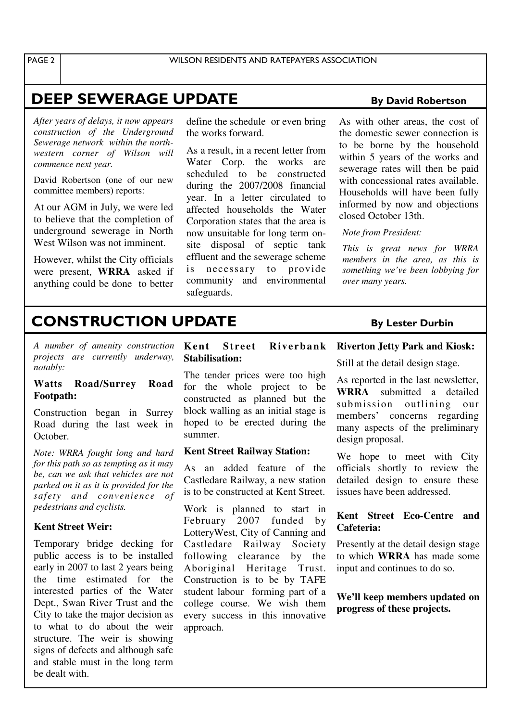## **DEEP SEWERAGE UPDATE** By David Robertson

*After years of delays, it now appears construction of the Underground Sewerage network within the northwestern corner of Wilson will commence next year.* 

David Robertson (one of our new committee members) reports:

At our AGM in July, we were led to believe that the completion of underground sewerage in North West Wilson was not imminent.

However, whilst the City officials were present, **WRRA** asked if anything could be done to better define the schedule or even bring the works forward.

As a result, in a recent letter from Water Corp. the works are scheduled to be constructed during the 2007/2008 financial year. In a letter circulated to affected households the Water Corporation states that the area is now unsuitable for long term onsite disposal of septic tank effluent and the sewerage scheme is necessary to provide community and environmental safeguards.

As with other areas, the cost of the domestic sewer connection is to be borne by the household within 5 years of the works and sewerage rates will then be paid with concessional rates available. Households will have been fully informed by now and objections closed October 13th.

*Note from President:* 

*This is great news for WRRA members in the area, as this is something we've been lobbying for over many years.*

## **CONSTRUCTION UPDATE** By Lester Durbin

*A number of amenity construction projects are currently underway, notably:* 

#### **Watts Road/Surrey Road Footpath:**

Construction began in Surrey Road during the last week in October.

*Note: WRRA fought long and hard for this path so as tempting as it may be, can we ask that vehicles are not parked on it as it is provided for the safety and convenience of pedestrians and cyclists.* 

#### **Kent Street Weir:**

Temporary bridge decking for public access is to be installed early in 2007 to last 2 years being the time estimated for the interested parties of the Water Dept., Swan River Trust and the City to take the major decision as to what to do about the weir structure. The weir is showing signs of defects and although safe and stable must in the long term be dealt with.

#### **Kent Street Riverbank Stabilisation:**

The tender prices were too high for the whole project to be constructed as planned but the block walling as an initial stage is hoped to be erected during the summer.

#### **Kent Street Railway Station:**

As an added feature of the Castledare Railway, a new station is to be constructed at Kent Street.

Work is planned to start in February 2007 funded by LotteryWest, City of Canning and Castledare Railway Society following clearance by the Aboriginal Heritage Trust. Construction is to be by TAFE student labour forming part of a college course. We wish them every success in this innovative approach.

### **Riverton Jetty Park and Kiosk:**

Still at the detail design stage.

As reported in the last newsletter, **WRRA** submitted a detailed submission outlining our members' concerns regarding many aspects of the preliminary design proposal.

We hope to meet with City officials shortly to review the detailed design to ensure these issues have been addressed.

### **Kent Street Eco-Centre and Cafeteria:**

Presently at the detail design stage to which **WRRA** has made some input and continues to do so.

**We'll keep members updated on progress of these projects.**